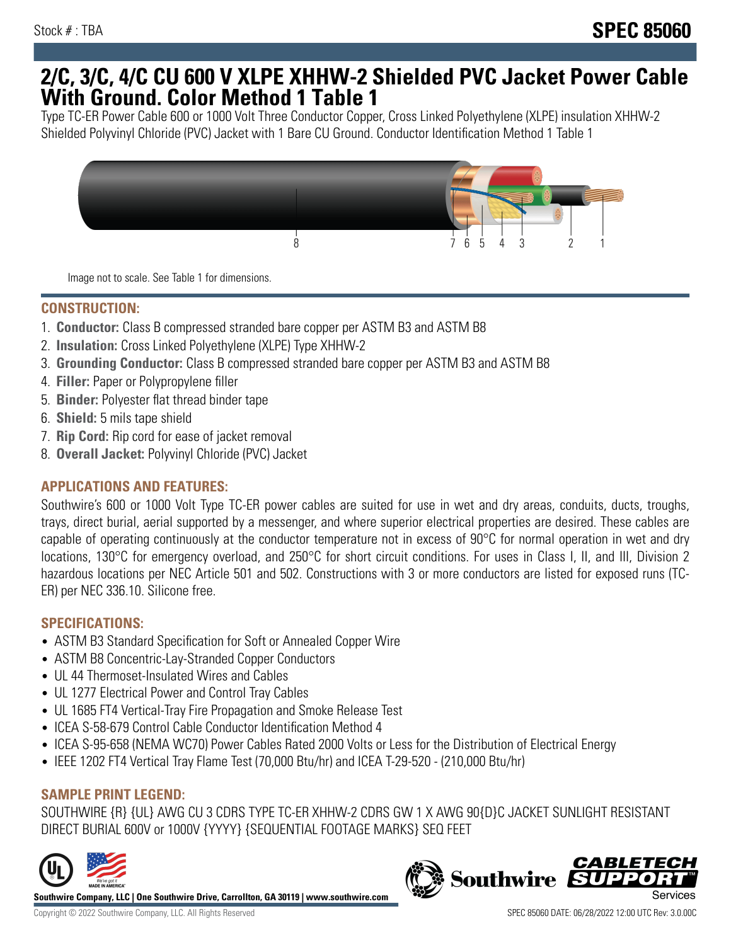## **2/C, 3/C, 4/C CU 600 V XLPE XHHW-2 Shielded PVC Jacket Power Cable With Ground. Color Method 1 Table 1**

Type TC-ER Power Cable 600 or 1000 Volt Three Conductor Copper, Cross Linked Polyethylene (XLPE) insulation XHHW-2 Shielded Polyvinyl Chloride (PVC) Jacket with 1 Bare CU Ground. Conductor Identification Method 1 Table 1



Image not to scale. See Table 1 for dimensions.

#### **CONSTRUCTION:**

- 1. **Conductor:** Class B compressed stranded bare copper per ASTM B3 and ASTM B8
- 2. **Insulation:** Cross Linked Polyethylene (XLPE) Type XHHW-2
- 3. **Grounding Conductor:** Class B compressed stranded bare copper per ASTM B3 and ASTM B8
- 4. **Filler:** Paper or Polypropylene filler
- 5. **Binder:** Polyester flat thread binder tape
- 6. **Shield:** 5 mils tape shield
- 7. **Rip Cord:** Rip cord for ease of jacket removal
- 8. **Overall Jacket:** Polyvinyl Chloride (PVC) Jacket

## **APPLICATIONS AND FEATURES:**

Southwire's 600 or 1000 Volt Type TC-ER power cables are suited for use in wet and dry areas, conduits, ducts, troughs, trays, direct burial, aerial supported by a messenger, and where superior electrical properties are desired. These cables are capable of operating continuously at the conductor temperature not in excess of 90°C for normal operation in wet and dry locations, 130°C for emergency overload, and 250°C for short circuit conditions. For uses in Class I, II, and III, Division 2 hazardous locations per NEC Article 501 and 502. Constructions with 3 or more conductors are listed for exposed runs (TC-ER) per NEC 336.10. Silicone free.

#### **SPECIFICATIONS:**

- ASTM B3 Standard Specification for Soft or Annealed Copper Wire
- ASTM B8 Concentric-Lay-Stranded Copper Conductors
- UL 44 Thermoset-Insulated Wires and Cables
- UL 1277 Electrical Power and Control Tray Cables
- UL 1685 FT4 Vertical-Tray Fire Propagation and Smoke Release Test
- ICEA S-58-679 Control Cable Conductor Identification Method 4
- ICEA S-95-658 (NEMA WC70) Power Cables Rated 2000 Volts or Less for the Distribution of Electrical Energy
- IEEE 1202 FT4 Vertical Tray Flame Test (70,000 Btu/hr) and ICEA T-29-520 (210,000 Btu/hr)

## **SAMPLE PRINT LEGEND:**

SOUTHWIRE {R} {UL} AWG CU 3 CDRS TYPE TC-ER XHHW-2 CDRS GW 1 X AWG 90{D}C JACKET SUNLIGHT RESISTANT DIRECT BURIAL 600V or 1000V {YYYY} {SEQUENTIAL FOOTAGE MARKS} SEQ FEET



**Southwire Company, LLC | One Southwire Drive, Carrollton, GA 30119 | www.southwire.com**